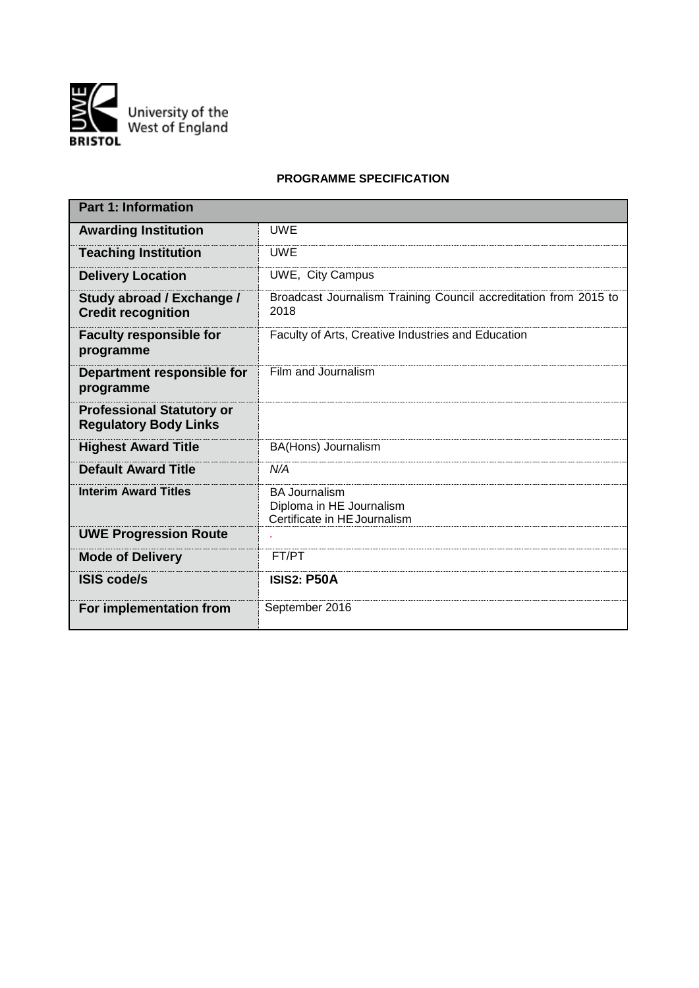

# **PROGRAMME SPECIFICATION**

| <b>Part 1: Information</b>                                       |                                                                                  |  |  |  |  |  |
|------------------------------------------------------------------|----------------------------------------------------------------------------------|--|--|--|--|--|
| <b>Awarding Institution</b>                                      | <b>UWE</b>                                                                       |  |  |  |  |  |
| <b>Teaching Institution</b>                                      | <b>UWE</b>                                                                       |  |  |  |  |  |
| <b>Delivery Location</b>                                         | UWE, City Campus                                                                 |  |  |  |  |  |
| Study abroad / Exchange /<br><b>Credit recognition</b>           | Broadcast Journalism Training Council accreditation from 2015 to<br>2018         |  |  |  |  |  |
| <b>Faculty responsible for</b><br>programme                      | Faculty of Arts, Creative Industries and Education                               |  |  |  |  |  |
| Department responsible for<br>programme                          | Film and Journalism                                                              |  |  |  |  |  |
| <b>Professional Statutory or</b><br><b>Regulatory Body Links</b> |                                                                                  |  |  |  |  |  |
| <b>Highest Award Title</b>                                       | BA(Hons) Journalism                                                              |  |  |  |  |  |
| <b>Default Award Title</b>                                       | N/A                                                                              |  |  |  |  |  |
| <b>Interim Award Titles</b>                                      | <b>BA Journalism</b><br>Diploma in HE Journalism<br>Certificate in HE Journalism |  |  |  |  |  |
| <b>UWE Progression Route</b>                                     |                                                                                  |  |  |  |  |  |
| <b>Mode of Delivery</b>                                          | FT/PT                                                                            |  |  |  |  |  |
| <b>ISIS code/s</b>                                               | <b>ISIS2: P50A</b>                                                               |  |  |  |  |  |
| For implementation from                                          | September 2016                                                                   |  |  |  |  |  |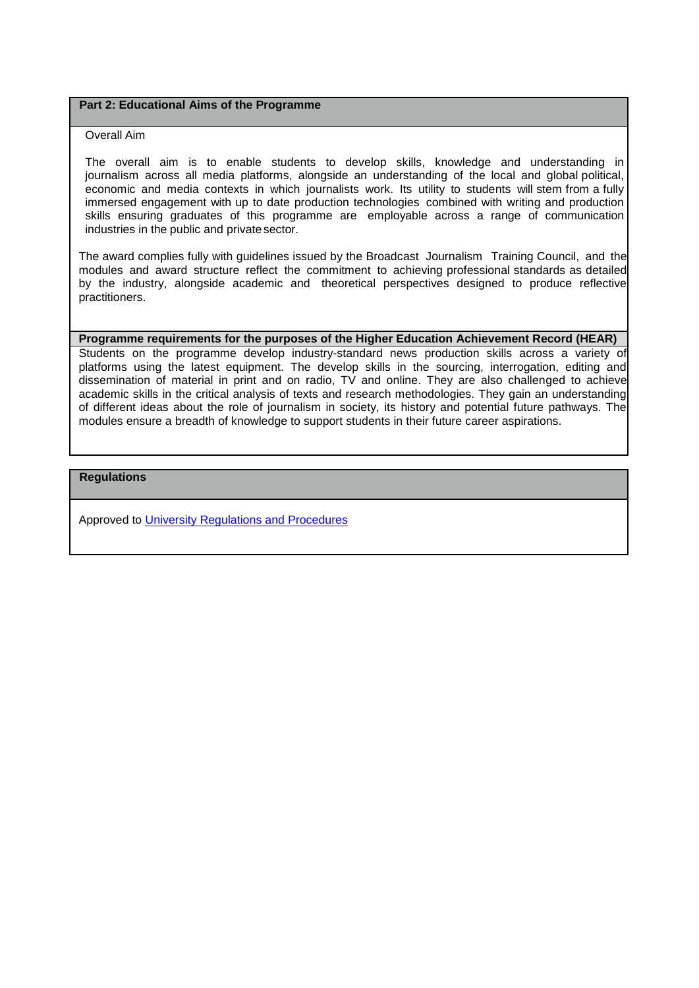### **Part 2: Educational Aims of the Programme**

#### Overall Aim

The overall aim is to enable students to develop skills, knowledge and understanding in journalism across all media platforms, alongside an understanding of the local and global political, economic and media contexts in which journalists work. Its utility to students will stem from a fully immersed engagement with up to date production technologies combined with writing and production skills ensuring graduates of this programme are employable across a range of communication industries in the public and private sector.

The award complies fully with guidelines issued by the Broadcast Journalism Training Council, and the modules and award structure reflect the commitment to achieving professional standards as detailed by the industry, alongside academic and theoretical perspectives designed to produce reflective practitioners.

#### **Programme requirements for the purposes of the Higher Education Achievement Record (HEAR)**

Students on the programme develop industry-standard news production skills across a variety of platforms using the latest equipment. The develop skills in the sourcing, interrogation, editing and dissemination of material in print and on radio, TV and online. They are also challenged to achieve academic skills in the critical analysis of texts and research methodologies. They gain an understanding of different ideas about the role of journalism in society, its history and potential future pathways. The modules ensure a breadth of knowledge to support students in their future career aspirations.

#### **Regulations**

Approved to [University Regulations and Procedures](http://www1.uwe.ac.uk/students/academicadvice/assessments/regulationsandprocedures.aspx)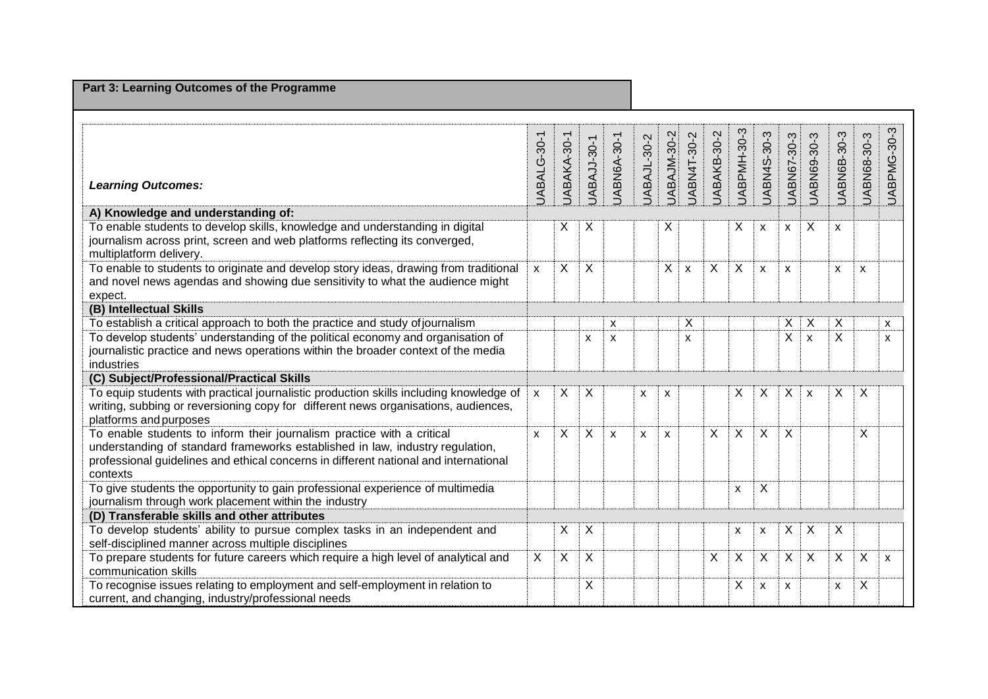# **Part 3: Learning Outcomes of the Programme**

| <b>Learning Outcomes:</b>                                                                                                                                                                                                                                   | JABALG-30-1  | UABAKA-30-1 | JABAJJ-30-1 | JABN6A-30-1 | JABAJL-30-2               | UABAJM-30-2 | JABN4T-30-2               | UABAKB-30-2 | JABPMH-30-3 | UABN4S-30-3               | UABN67-30-3               | UABN69-30-3  | UABN6B-30-3             | UABN68-30-3 | UABPMG-30-3 |
|-------------------------------------------------------------------------------------------------------------------------------------------------------------------------------------------------------------------------------------------------------------|--------------|-------------|-------------|-------------|---------------------------|-------------|---------------------------|-------------|-------------|---------------------------|---------------------------|--------------|-------------------------|-------------|-------------|
| A) Knowledge and understanding of:                                                                                                                                                                                                                          |              |             |             |             |                           |             |                           |             |             |                           |                           |              |                         |             |             |
| To enable students to develop skills, knowledge and understanding in digital<br>journalism across print, screen and web platforms reflecting its converged,<br>multiplatform delivery.                                                                      |              | X           | X           |             |                           | X           |                           |             | Х           | $\boldsymbol{\mathsf{x}}$ | X                         | X            | X                       |             |             |
| To enable to students to originate and develop story ideas, drawing from traditional<br>and novel news agendas and showing due sensitivity to what the audience might<br>expect.                                                                            | $\mathsf{x}$ | Χ           | X           |             |                           | X           | $\boldsymbol{\mathsf{x}}$ | X           | $\sf X$     | $\pmb{\mathsf{X}}$        | $\boldsymbol{\mathsf{x}}$ |              | X                       | X           |             |
| (B) Intellectual Skills                                                                                                                                                                                                                                     |              |             |             |             |                           |             |                           |             |             |                           |                           |              |                         |             |             |
| To establish a critical approach to both the practice and study of journalism                                                                                                                                                                               |              |             |             | x           |                           |             | X                         |             |             |                           | X                         | X            | X                       |             | X           |
| To develop students' understanding of the political economy and organisation of<br>journalistic practice and news operations within the broader context of the media<br>industries                                                                          |              |             | X           | X           |                           |             | X                         |             |             |                           | $\overline{X}$            | $\mathsf{x}$ | $\overline{\mathsf{x}}$ |             | X           |
| (C) Subject/Professional/Practical Skills                                                                                                                                                                                                                   |              |             |             |             |                           |             |                           |             |             |                           |                           |              |                         |             |             |
| To equip students with practical journalistic production skills including knowledge of<br>writing, subbing or reversioning copy for different news organisations, audiences,<br>platforms and purposes                                                      | X            | Χ           | X           |             | X                         | X           |                           |             | Χ           | X                         | X                         | X            | X                       | X           |             |
| To enable students to inform their journalism practice with a critical<br>understanding of standard frameworks established in law, industry regulation,<br>professional guidelines and ethical concerns in different national and international<br>contexts | X            | X           | X           | X           | $\boldsymbol{\mathsf{x}}$ | X           |                           | X           | $\mathsf X$ | X                         | $\boldsymbol{\mathsf{X}}$ |              |                         | X           |             |
| To give students the opportunity to gain professional experience of multimedia<br>journalism through work placement within the industry                                                                                                                     |              |             |             |             |                           |             |                           |             | X           | X                         |                           |              |                         |             |             |
| (D) Transferable skills and other attributes                                                                                                                                                                                                                |              |             |             |             |                           |             |                           |             |             |                           |                           |              |                         |             |             |
| To develop students' ability to pursue complex tasks in an independent and<br>self-disciplined manner across multiple disciplines                                                                                                                           |              | Χ           | X           |             |                           |             |                           |             | X           | X                         | X                         | X            | X                       |             |             |
| To prepare students for future careers which require a high level of analytical and<br>communication skills                                                                                                                                                 | X            | Χ           | X           |             |                           |             |                           | X           | $\sf X$     | X                         | X                         | X            | $\overline{X}$          | X           | X           |
| To recognise issues relating to employment and self-employment in relation to<br>current, and changing, industry/professional needs                                                                                                                         |              |             | X           |             |                           |             |                           |             | Χ           | X                         | X                         |              | X                       | $\sf X$     |             |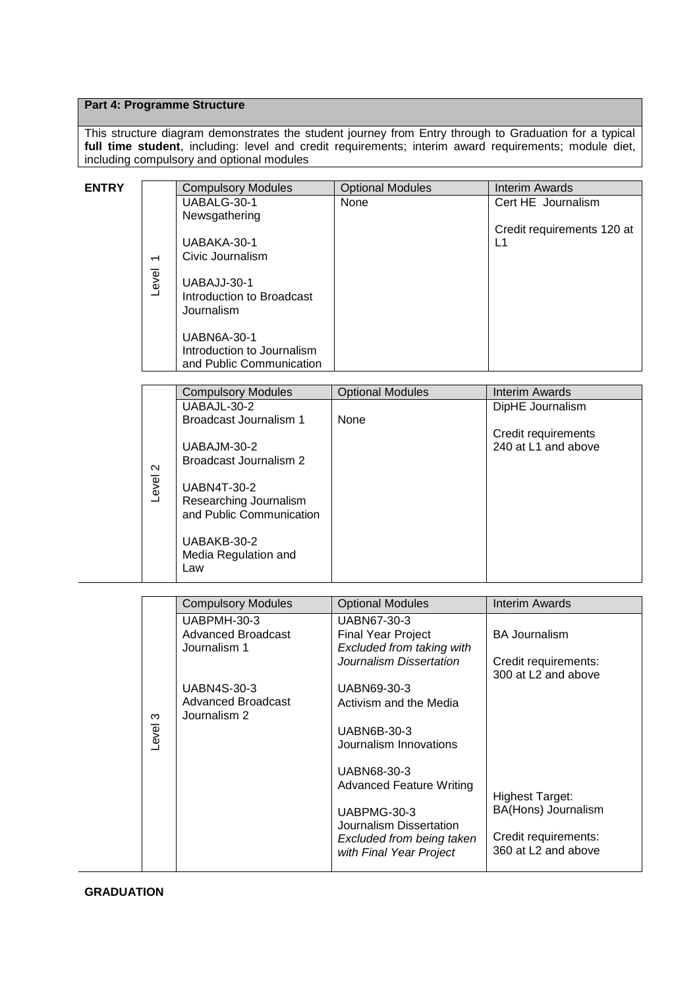## **Part 4: Programme Structure**

This structure diagram demonstrates the student journey from Entry through to Graduation for a typical **full time student**, including: level and credit requirements; interim award requirements; module diet, including compulsory and optional modules

|                          | <b>Compulsory Modules</b>                       | <b>Optional Modules</b>                                                                                                                                                                                                                                                                                                                                                                                                                                                        | <b>Interim Awards</b>                                                                                                                                                                                                                                                                                             |  |  |  |  |
|--------------------------|-------------------------------------------------|--------------------------------------------------------------------------------------------------------------------------------------------------------------------------------------------------------------------------------------------------------------------------------------------------------------------------------------------------------------------------------------------------------------------------------------------------------------------------------|-------------------------------------------------------------------------------------------------------------------------------------------------------------------------------------------------------------------------------------------------------------------------------------------------------------------|--|--|--|--|
|                          | UABALG-30-1                                     | None                                                                                                                                                                                                                                                                                                                                                                                                                                                                           | Cert HE Journalism                                                                                                                                                                                                                                                                                                |  |  |  |  |
|                          | Newsgathering                                   |                                                                                                                                                                                                                                                                                                                                                                                                                                                                                |                                                                                                                                                                                                                                                                                                                   |  |  |  |  |
|                          |                                                 |                                                                                                                                                                                                                                                                                                                                                                                                                                                                                | Credit requirements 120 at                                                                                                                                                                                                                                                                                        |  |  |  |  |
|                          |                                                 |                                                                                                                                                                                                                                                                                                                                                                                                                                                                                | L1                                                                                                                                                                                                                                                                                                                |  |  |  |  |
| $\overline{\phantom{0}}$ |                                                 |                                                                                                                                                                                                                                                                                                                                                                                                                                                                                |                                                                                                                                                                                                                                                                                                                   |  |  |  |  |
|                          |                                                 |                                                                                                                                                                                                                                                                                                                                                                                                                                                                                |                                                                                                                                                                                                                                                                                                                   |  |  |  |  |
|                          |                                                 |                                                                                                                                                                                                                                                                                                                                                                                                                                                                                |                                                                                                                                                                                                                                                                                                                   |  |  |  |  |
|                          |                                                 |                                                                                                                                                                                                                                                                                                                                                                                                                                                                                |                                                                                                                                                                                                                                                                                                                   |  |  |  |  |
|                          |                                                 |                                                                                                                                                                                                                                                                                                                                                                                                                                                                                |                                                                                                                                                                                                                                                                                                                   |  |  |  |  |
|                          | <b>UABN6A-30-1</b>                              |                                                                                                                                                                                                                                                                                                                                                                                                                                                                                |                                                                                                                                                                                                                                                                                                                   |  |  |  |  |
|                          | Introduction to Journalism                      |                                                                                                                                                                                                                                                                                                                                                                                                                                                                                |                                                                                                                                                                                                                                                                                                                   |  |  |  |  |
|                          |                                                 |                                                                                                                                                                                                                                                                                                                                                                                                                                                                                |                                                                                                                                                                                                                                                                                                                   |  |  |  |  |
|                          |                                                 |                                                                                                                                                                                                                                                                                                                                                                                                                                                                                |                                                                                                                                                                                                                                                                                                                   |  |  |  |  |
|                          |                                                 |                                                                                                                                                                                                                                                                                                                                                                                                                                                                                | <b>Interim Awards</b>                                                                                                                                                                                                                                                                                             |  |  |  |  |
|                          |                                                 |                                                                                                                                                                                                                                                                                                                                                                                                                                                                                | DipHE Journalism                                                                                                                                                                                                                                                                                                  |  |  |  |  |
|                          |                                                 |                                                                                                                                                                                                                                                                                                                                                                                                                                                                                | Credit requirements                                                                                                                                                                                                                                                                                               |  |  |  |  |
|                          |                                                 |                                                                                                                                                                                                                                                                                                                                                                                                                                                                                | 240 at L1 and above                                                                                                                                                                                                                                                                                               |  |  |  |  |
|                          |                                                 |                                                                                                                                                                                                                                                                                                                                                                                                                                                                                |                                                                                                                                                                                                                                                                                                                   |  |  |  |  |
|                          |                                                 |                                                                                                                                                                                                                                                                                                                                                                                                                                                                                |                                                                                                                                                                                                                                                                                                                   |  |  |  |  |
|                          | <b>UABN4T-30-2</b>                              |                                                                                                                                                                                                                                                                                                                                                                                                                                                                                |                                                                                                                                                                                                                                                                                                                   |  |  |  |  |
|                          |                                                 |                                                                                                                                                                                                                                                                                                                                                                                                                                                                                |                                                                                                                                                                                                                                                                                                                   |  |  |  |  |
|                          |                                                 |                                                                                                                                                                                                                                                                                                                                                                                                                                                                                |                                                                                                                                                                                                                                                                                                                   |  |  |  |  |
|                          |                                                 |                                                                                                                                                                                                                                                                                                                                                                                                                                                                                |                                                                                                                                                                                                                                                                                                                   |  |  |  |  |
|                          |                                                 |                                                                                                                                                                                                                                                                                                                                                                                                                                                                                |                                                                                                                                                                                                                                                                                                                   |  |  |  |  |
|                          |                                                 |                                                                                                                                                                                                                                                                                                                                                                                                                                                                                |                                                                                                                                                                                                                                                                                                                   |  |  |  |  |
|                          |                                                 |                                                                                                                                                                                                                                                                                                                                                                                                                                                                                |                                                                                                                                                                                                                                                                                                                   |  |  |  |  |
|                          |                                                 |                                                                                                                                                                                                                                                                                                                                                                                                                                                                                | <b>Interim Awards</b>                                                                                                                                                                                                                                                                                             |  |  |  |  |
|                          |                                                 |                                                                                                                                                                                                                                                                                                                                                                                                                                                                                |                                                                                                                                                                                                                                                                                                                   |  |  |  |  |
|                          |                                                 |                                                                                                                                                                                                                                                                                                                                                                                                                                                                                | <b>BA Journalism</b>                                                                                                                                                                                                                                                                                              |  |  |  |  |
|                          |                                                 |                                                                                                                                                                                                                                                                                                                                                                                                                                                                                |                                                                                                                                                                                                                                                                                                                   |  |  |  |  |
|                          |                                                 |                                                                                                                                                                                                                                                                                                                                                                                                                                                                                | Credit requirements:                                                                                                                                                                                                                                                                                              |  |  |  |  |
|                          |                                                 |                                                                                                                                                                                                                                                                                                                                                                                                                                                                                | 300 at L2 and above                                                                                                                                                                                                                                                                                               |  |  |  |  |
|                          | <b>UABN4S-30-3</b>                              | UABN69-30-3                                                                                                                                                                                                                                                                                                                                                                                                                                                                    |                                                                                                                                                                                                                                                                                                                   |  |  |  |  |
|                          |                                                 | Activism and the Media                                                                                                                                                                                                                                                                                                                                                                                                                                                         |                                                                                                                                                                                                                                                                                                                   |  |  |  |  |
|                          |                                                 |                                                                                                                                                                                                                                                                                                                                                                                                                                                                                |                                                                                                                                                                                                                                                                                                                   |  |  |  |  |
|                          |                                                 |                                                                                                                                                                                                                                                                                                                                                                                                                                                                                |                                                                                                                                                                                                                                                                                                                   |  |  |  |  |
|                          |                                                 |                                                                                                                                                                                                                                                                                                                                                                                                                                                                                |                                                                                                                                                                                                                                                                                                                   |  |  |  |  |
|                          |                                                 |                                                                                                                                                                                                                                                                                                                                                                                                                                                                                |                                                                                                                                                                                                                                                                                                                   |  |  |  |  |
|                          |                                                 |                                                                                                                                                                                                                                                                                                                                                                                                                                                                                |                                                                                                                                                                                                                                                                                                                   |  |  |  |  |
|                          |                                                 |                                                                                                                                                                                                                                                                                                                                                                                                                                                                                | <b>Highest Target:</b>                                                                                                                                                                                                                                                                                            |  |  |  |  |
|                          |                                                 | UABPMG-30-3                                                                                                                                                                                                                                                                                                                                                                                                                                                                    | BA(Hons) Journalism                                                                                                                                                                                                                                                                                               |  |  |  |  |
|                          |                                                 | Journalism Dissertation                                                                                                                                                                                                                                                                                                                                                                                                                                                        |                                                                                                                                                                                                                                                                                                                   |  |  |  |  |
|                          |                                                 |                                                                                                                                                                                                                                                                                                                                                                                                                                                                                | Credit requirements:<br>360 at L2 and above                                                                                                                                                                                                                                                                       |  |  |  |  |
|                          |                                                 |                                                                                                                                                                                                                                                                                                                                                                                                                                                                                |                                                                                                                                                                                                                                                                                                                   |  |  |  |  |
|                          | Level<br>$\mathbf{\Omega}$<br>Level.<br>Level 3 | UABAKA-30-1<br>Civic Journalism<br>UABAJJ-30-1<br>Introduction to Broadcast<br>Journalism<br>and Public Communication<br><b>Compulsory Modules</b><br>UABAJL-30-2<br>Broadcast Journalism 1<br>UABAJM-30-2<br>Broadcast Journalism 2<br>Researching Journalism<br>and Public Communication<br>UABAKB-30-2<br>Media Regulation and<br>Law<br><b>Compulsory Modules</b><br>UABPMH-30-3<br><b>Advanced Broadcast</b><br>Journalism 1<br><b>Advanced Broadcast</b><br>Journalism 2 | <b>Optional Modules</b><br>None<br><b>Optional Modules</b><br>UABN67-30-3<br><b>Final Year Project</b><br>Excluded from taking with<br>Journalism Dissertation<br>UABN6B-30-3<br>Journalism Innovations<br>UABN68-30-3<br><b>Advanced Feature Writing</b><br>Excluded from being taken<br>with Final Year Project |  |  |  |  |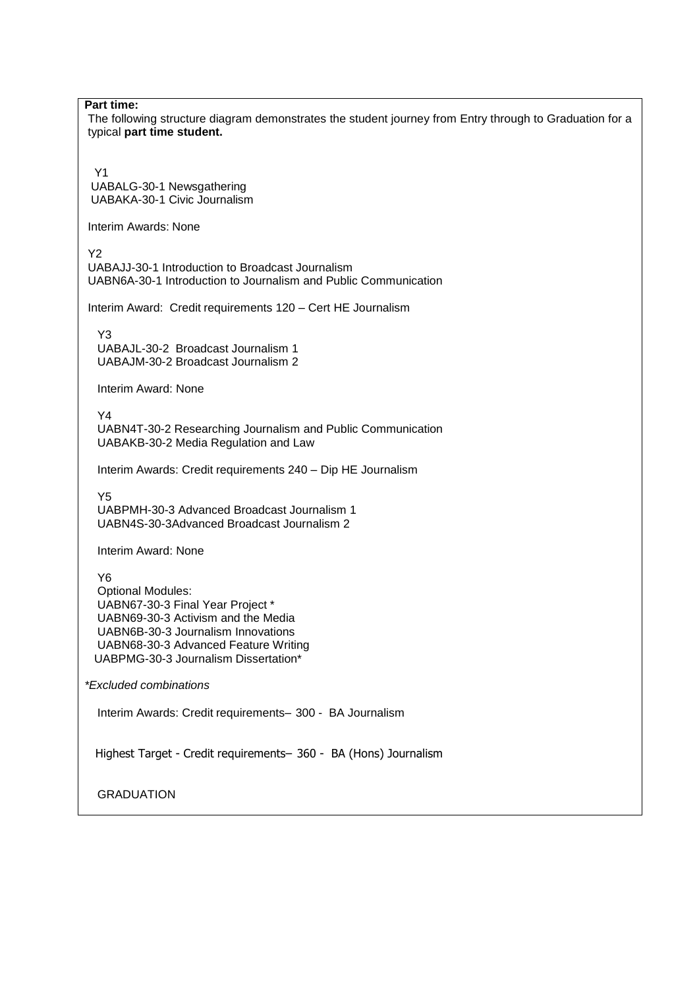**Part time:** The following structure diagram demonstrates the student journey from Entry through to Graduation for a typical **part time student.** Y1 UABALG-30-1 Newsgathering UABAKA-30-1 Civic Journalism Interim Awards: None Y<sub>2</sub> UABAJJ-30-1 Introduction to Broadcast Journalism UABN6A-30-1 Introduction to Journalism and Public Communication Interim Award: Credit requirements 120 – Cert HE Journalism Y3 UABAJL-30-2 Broadcast Journalism 1 UABAJM-30-2 Broadcast Journalism 2 Interim Award: None Y4 UABN4T-30-2 Researching Journalism and Public Communication UABAKB-30-2 Media Regulation and Law Interim Awards: Credit requirements 240 – Dip HE Journalism Y5 UABPMH-30-3 Advanced Broadcast Journalism 1 UABN4S-30-3Advanced Broadcast Journalism 2 Interim Award: None Y6 Optional Modules: UABN67-30-3 Final Year Project \* UABN69-30-3 Activism and the Media UABN6B-30-3 Journalism Innovations UABN68-30-3 Advanced Feature Writing UABPMG-30-3 Journalism Dissertation\* *\*Excluded combinations* Interim Awards: Credit requirements– 300 - BA Journalism Highest Target - Credit requirements– 360 - BA (Hons) Journalism GRADUATION